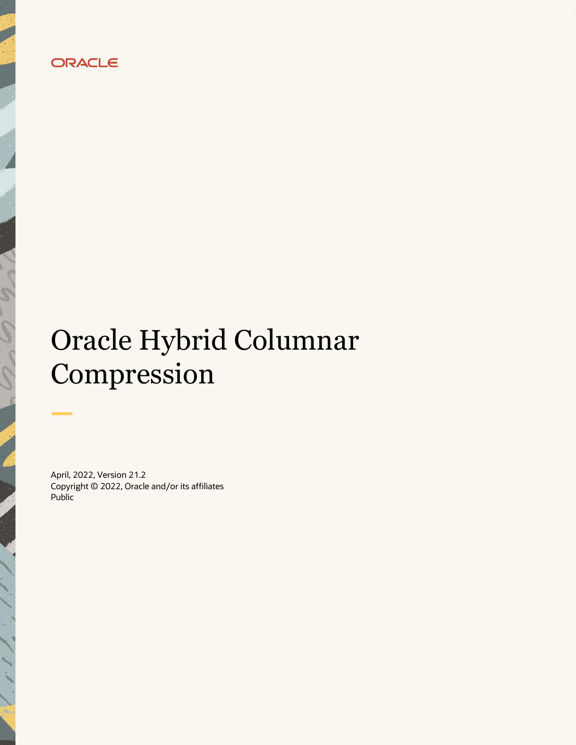

# Oracle Hybrid Columnar Compression

April, 2022, Version 21.2 Copyright © 2022, Oracle and/or its affiliates Public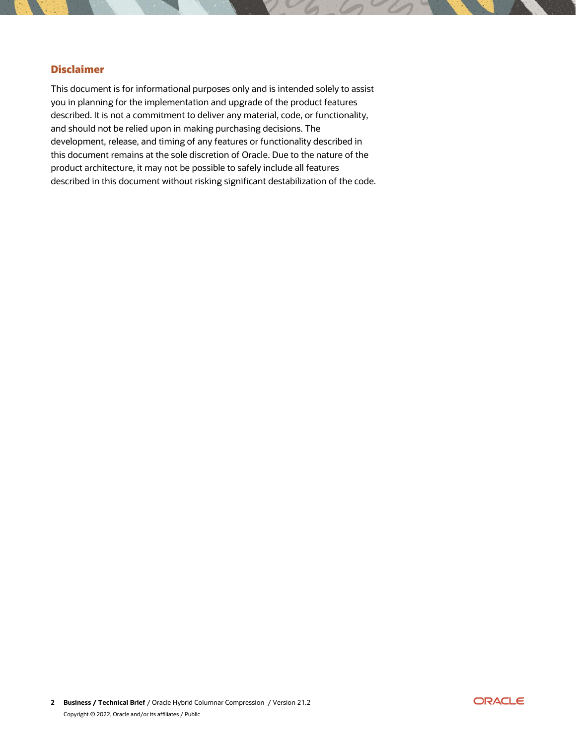## <span id="page-1-0"></span>**Disclaimer**

This document is for informational purposes only and is intended solely to assist you in planning for the implementation and upgrade of the product features described. It is not a commitment to deliver any material, code, or functionality, and should not be relied upon in making purchasing decisions. The development, release, and timing of any features or functionality described in this document remains at the sole discretion of Oracle. Due to the nature of the product architecture, it may not be possible to safely include all features described in this document without risking significant destabilization of the code.

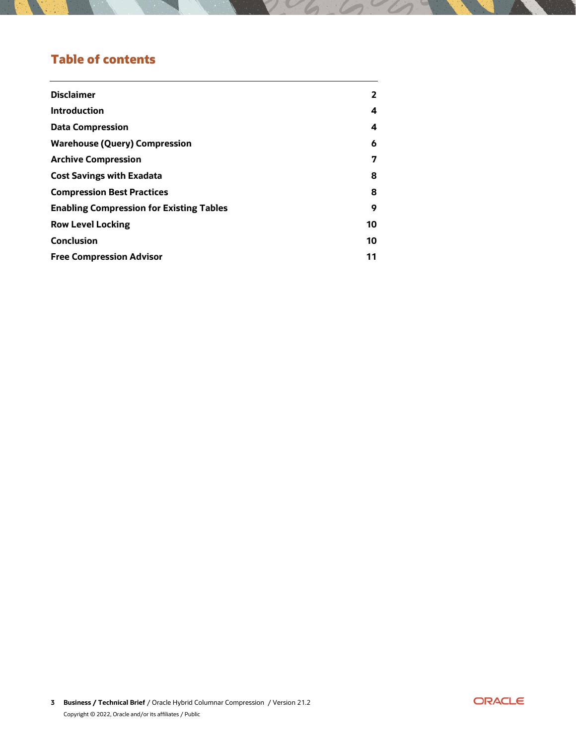## **Table of contents**

| <b>Disclaimer</b>                               | $\mathbf{2}$ |
|-------------------------------------------------|--------------|
| <b>Introduction</b>                             | 4            |
| <b>Data Compression</b>                         | 4            |
| <b>Warehouse (Query) Compression</b>            | 6            |
| <b>Archive Compression</b>                      | 7            |
| <b>Cost Savings with Exadata</b>                | 8            |
| <b>Compression Best Practices</b>               | 8            |
| <b>Enabling Compression for Existing Tables</b> | 9            |
| <b>Row Level Locking</b>                        | 10           |
| <b>Conclusion</b>                               | 10           |
| <b>Free Compression Advisor</b>                 | 11           |
|                                                 |              |

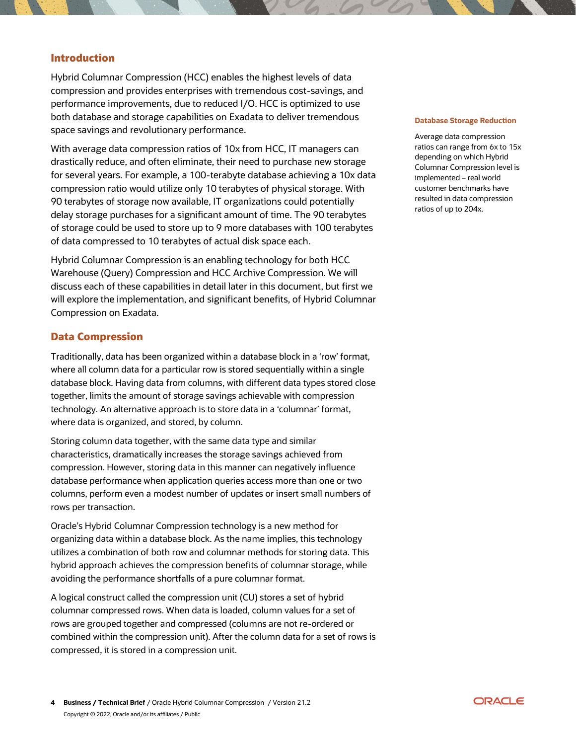#### <span id="page-3-0"></span>**Introduction**

Hybrid Columnar Compression (HCC) enables the highest levels of data compression and provides enterprises with tremendous cost-savings, and performance improvements, due to reduced I/O. HCC is optimized to use both database and storage capabilities on Exadata to deliver tremendous space savings and revolutionary performance.

With average data compression ratios of 10x from HCC, IT managers can drastically reduce, and often eliminate, their need to purchase new storage for several years. For example, a 100-terabyte database achieving a 10x data compression ratio would utilize only 10 terabytes of physical storage. With 90 terabytes of storage now available, IT organizations could potentially delay storage purchases for a significant amount of time. The 90 terabytes of storage could be used to store up to 9 more databases with 100 terabytes of data compressed to 10 terabytes of actual disk space each.

Hybrid Columnar Compression is an enabling technology for both HCC Warehouse (Query) Compression and HCC Archive Compression. We will discuss each of these capabilities in detail later in this document, but first we will explore the implementation, and significant benefits, of Hybrid Columnar Compression on Exadata.

#### <span id="page-3-1"></span>**Data Compression**

Traditionally, data has been organized within a database block in a 'row' format, where all column data for a particular row is stored sequentially within a single database block. Having data from columns, with different data types stored close together, limits the amount of storage savings achievable with compression technology. An alternative approach is to store data in a 'columnar' format, where data is organized, and stored, by column.

Storing column data together, with the same data type and similar characteristics, dramatically increases the storage savings achieved from compression. However, storing data in this manner can negatively influence database performance when application queries access more than one or two columns, perform even a modest number of updates or insert small numbers of rows per transaction.

Oracle's Hybrid Columnar Compression technology is a new method for organizing data within a database block. As the name implies, this technology utilizes a combination of both row and columnar methods for storing data. This hybrid approach achieves the compression benefits of columnar storage, while avoiding the performance shortfalls of a pure columnar format.

A logical construct called the compression unit (CU) stores a set of hybrid columnar compressed rows. When data is loaded, column values for a set of rows are grouped together and compressed (columns are not re-ordered or combined within the compression unit). After the column data for a set of rows is compressed, it is stored in a compression unit.

#### **Database Storage Reduction**

Average data compression ratios can range from 6x to 15x depending on which Hybrid Columnar Compression level is implemented – real world customer benchmarks have resulted in data compression ratios of up to 204x.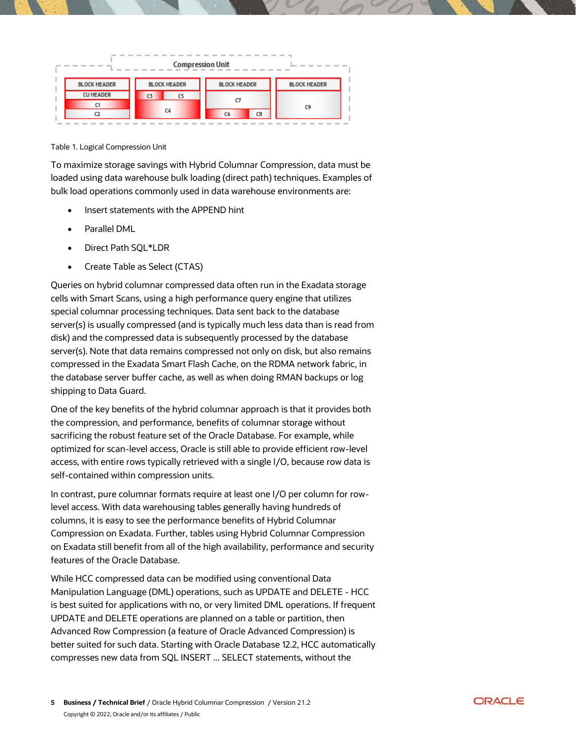

#### Table 1. Logical Compression Unit

To maximize storage savings with Hybrid Columnar Compression, data must be loaded using data warehouse bulk loading (direct path) techniques. Examples of bulk load operations commonly used in data warehouse environments are:

- Insert statements with the APPEND hint
- Parallel DML
- Direct Path SQL\*LDR
- Create Table as Select (CTAS)

Queries on hybrid columnar compressed data often run in the Exadata storage cells with Smart Scans, using a high performance query engine that utilizes special columnar processing techniques. Data sent back to the database server(s) is usually compressed (and is typically much less data than is read from disk) and the compressed data is subsequently processed by the database server(s). Note that data remains compressed not only on disk, but also remains compressed in the Exadata Smart Flash Cache, on the RDMA network fabric, in the database server buffer cache, as well as when doing RMAN backups or log shipping to Data Guard.

One of the key benefits of the hybrid columnar approach is that it provides both the compression, and performance, benefits of columnar storage without sacrificing the robust feature set of the Oracle Database. For example, while optimized for scan-level access, Oracle is still able to provide efficient row-level access, with entire rows typically retrieved with a single I/O, because row data is self-contained within compression units.

In contrast, pure columnar formats require at least one I/O per column for rowlevel access. With data warehousing tables generally having hundreds of columns, it is easy to see the performance benefits of Hybrid Columnar Compression on Exadata. Further, tables using Hybrid Columnar Compression on Exadata still benefit from all of the high availability, performance and security features of the Oracle Database.

While HCC compressed data can be modified using conventional Data Manipulation Language (DML) operations, such as UPDATE and DELETE - HCC is best suited for applications with no, or very limited DML operations. If frequent UPDATE and DELETE operations are planned on a table or partition, then Advanced Row Compression (a feature of Oracle Advanced Compression) is better suited for such data. Starting with Oracle Database 12.2, HCC automatically compresses new data from SQL INSERT ... SELECT statements, without the

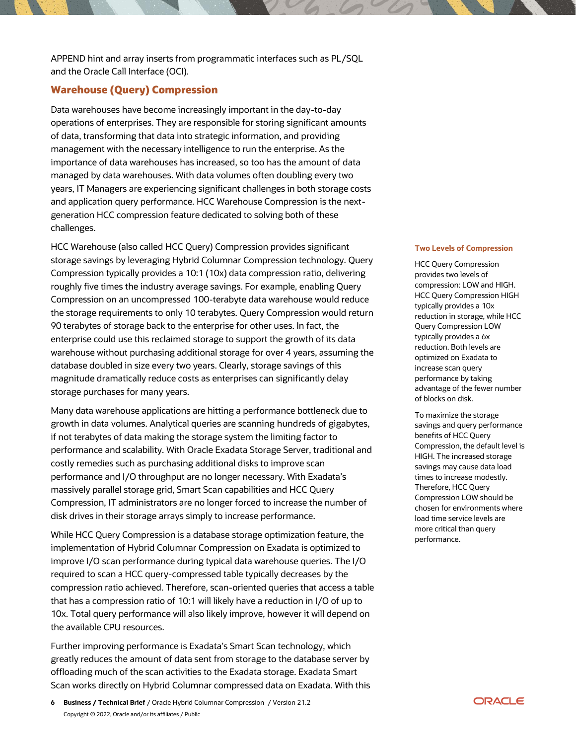APPEND hint and array inserts from programmatic interfaces such as PL/SQL and the Oracle Call Interface (OCI).

#### <span id="page-5-0"></span>**Warehouse (Query) Compression**

Data warehouses have become increasingly important in the day-to-day operations of enterprises. They are responsible for storing significant amounts of data, transforming that data into strategic information, and providing management with the necessary intelligence to run the enterprise. As the importance of data warehouses has increased, so too has the amount of data managed by data warehouses. With data volumes often doubling every two years, IT Managers are experiencing significant challenges in both storage costs and application query performance. HCC Warehouse Compression is the nextgeneration HCC compression feature dedicated to solving both of these challenges.

HCC Warehouse (also called HCC Query) Compression provides significant storage savings by leveraging Hybrid Columnar Compression technology. Query Compression typically provides a 10:1 (10x) data compression ratio, delivering roughly five times the industry average savings. For example, enabling Query Compression on an uncompressed 100-terabyte data warehouse would reduce the storage requirements to only 10 terabytes. Query Compression would return 90 terabytes of storage back to the enterprise for other uses. In fact, the enterprise could use this reclaimed storage to support the growth of its data warehouse without purchasing additional storage for over 4 years, assuming the database doubled in size every two years. Clearly, storage savings of this magnitude dramatically reduce costs as enterprises can significantly delay storage purchases for many years.

Many data warehouse applications are hitting a performance bottleneck due to growth in data volumes. Analytical queries are scanning hundreds of gigabytes, if not terabytes of data making the storage system the limiting factor to performance and scalability. With Oracle Exadata Storage Server, traditional and costly remedies such as purchasing additional disks to improve scan performance and I/O throughput are no longer necessary. With Exadata's massively parallel storage grid, Smart Scan capabilities and HCC Query Compression, IT administrators are no longer forced to increase the number of disk drives in their storage arrays simply to increase performance.

While HCC Query Compression is a database storage optimization feature, the implementation of Hybrid Columnar Compression on Exadata is optimized to improve I/O scan performance during typical data warehouse queries. The I/O required to scan a HCC query-compressed table typically decreases by the compression ratio achieved. Therefore, scan-oriented queries that access a table that has a compression ratio of 10:1 will likely have a reduction in I/O of up to 10x. Total query performance will also likely improve, however it will depend on the available CPU resources.

Further improving performance is Exadata's Smart Scan technology, which greatly reduces the amount of data sent from storage to the database server by offloading much of the scan activities to the Exadata storage. Exadata Smart Scan works directly on Hybrid Columnar compressed data on Exadata. With this

#### **Two Levels of Compression**

HCC Query Compression provides two levels of compression: LOW and HIGH. HCC Query Compression HIGH typically provides a 10x reduction in storage, while HCC Query Compression LOW typically provides a 6x reduction. Both levels are optimized on Exadata to increase scan query performance by taking advantage of the fewer number of blocks on disk.

To maximize the storage savings and query performance benefits of HCC Query Compression, the default level is HIGH. The increased storage savings may cause data load times to increase modestly. Therefore, HCC Query Compression LOW should be chosen for environments where load time service levels are more critical than query performance.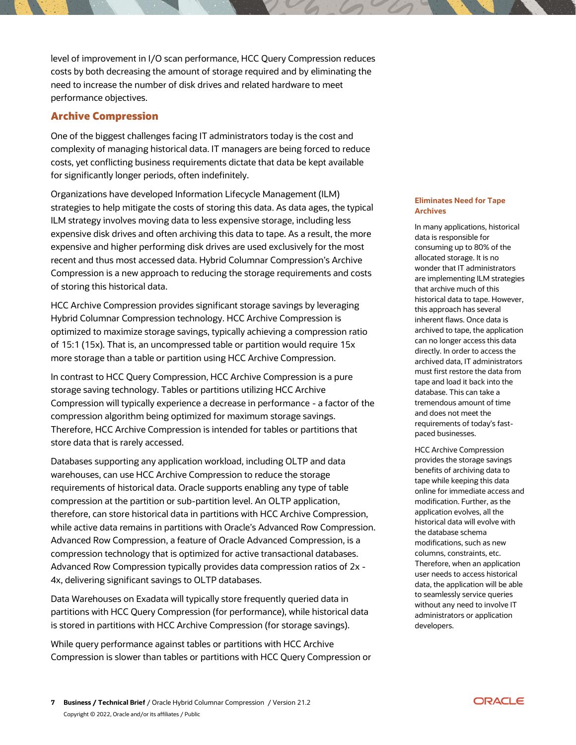level of improvement in I/O scan performance, HCC Query Compression reduces costs by both decreasing the amount of storage required and by eliminating the need to increase the number of disk drives and related hardware to meet performance objectives.

### <span id="page-6-0"></span>**Archive Compression**

One of the biggest challenges facing IT administrators today is the cost and complexity of managing historical data. IT managers are being forced to reduce costs, yet conflicting business requirements dictate that data be kept available for significantly longer periods, often indefinitely.

Organizations have developed Information Lifecycle Management (ILM) strategies to help mitigate the costs of storing this data. As data ages, the typical ILM strategy involves moving data to less expensive storage, including less expensive disk drives and often archiving this data to tape. As a result, the more expensive and higher performing disk drives are used exclusively for the most recent and thus most accessed data. Hybrid Columnar Compression's Archive Compression is a new approach to reducing the storage requirements and costs of storing this historical data.

HCC Archive Compression provides significant storage savings by leveraging Hybrid Columnar Compression technology. HCC Archive Compression is optimized to maximize storage savings, typically achieving a compression ratio of 15:1 (15x). That is, an uncompressed table or partition would require 15x more storage than a table or partition using HCC Archive Compression.

In contrast to HCC Query Compression, HCC Archive Compression is a pure storage saving technology. Tables or partitions utilizing HCC Archive Compression will typically experience a decrease in performance - a factor of the compression algorithm being optimized for maximum storage savings. Therefore, HCC Archive Compression is intended for tables or partitions that store data that is rarely accessed.

Databases supporting any application workload, including OLTP and data warehouses, can use HCC Archive Compression to reduce the storage requirements of historical data. Oracle supports enabling any type of table compression at the partition or sub-partition level. An OLTP application, therefore, can store historical data in partitions with HCC Archive Compression, while active data remains in partitions with Oracle's Advanced Row Compression. Advanced Row Compression, a feature of Oracle Advanced Compression, is a compression technology that is optimized for active transactional databases. Advanced Row Compression typically provides data compression ratios of 2x - 4x, delivering significant savings to OLTP databases.

Data Warehouses on Exadata will typically store frequently queried data in partitions with HCC Query Compression (for performance), while historical data is stored in partitions with HCC Archive Compression (for storage savings).

While query performance against tables or partitions with HCC Archive Compression is slower than tables or partitions with HCC Query Compression or

#### **Eliminates Need for Tape Archives**

In many applications, historical data is responsible for consuming up to 80% of the allocated storage. It is no wonder that IT administrators are implementing ILM strategies that archive much of this historical data to tape. However, this approach has several inherent flaws. Once data is archived to tape, the application can no longer access this data directly. In order to access the archived data, IT administrators must first restore the data from tape and load it back into the database. This can take a tremendous amount of time and does not meet the requirements of today's fastpaced businesses.

HCC Archive Compression provides the storage savings benefits of archiving data to tape while keeping this data online for immediate access and modification. Further, as the application evolves, all the historical data will evolve with the database schema modifications, such as new columns, constraints, etc. Therefore, when an application user needs to access historical data, the application will be able to seamlessly service queries without any need to involve IT administrators or application developers.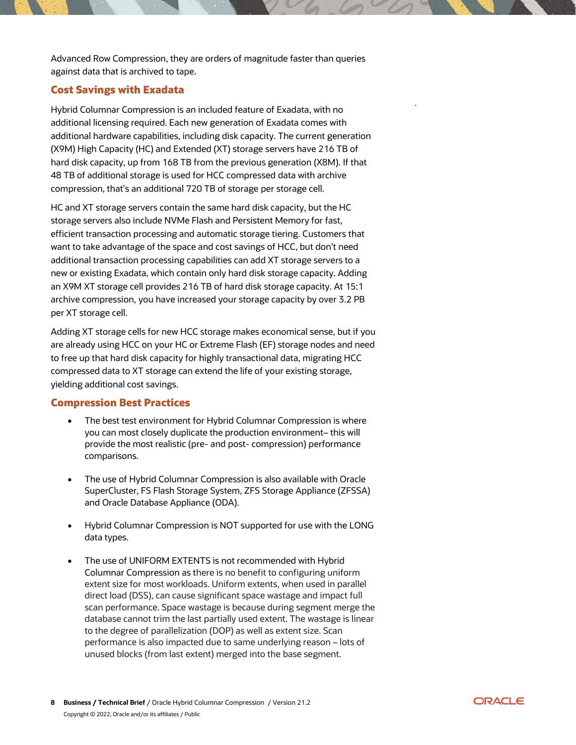Advanced Row Compression, they are orders of magnitude faster than queries against data that is archived to tape.

#### <span id="page-7-0"></span>**Cost Savings with Exadata**

Hybrid Columnar Compression is an included feature of Exadata, with no additional licensing required. Each new generation of Exadata comes with additional hardware capabilities, including disk capacity. The current generation (X9M) High Capacity (HC) and Extended (XT) storage servers have 216 TB of hard disk capacity, up from 168 TB from the previous generation (X8M). If that 48 TB of additional storage is used for HCC compressed data with archive compression, that's an additional 720 TB of storage per storage cell.

HC and XT storage servers contain the same hard disk capacity, but the HC storage servers also include NVMe Flash and Persistent Memory for fast, efficient transaction processing and automatic storage tiering. Customers that want to take advantage of the space and cost savings of HCC, but don't need additional transaction processing capabilities can add XT storage servers to a new or existing Exadata, which contain only hard disk storage capacity. Adding an X9M XT storage cell provides 216 TB of hard disk storage capacity. At 15:1 archive compression, you have increased your storage capacity by over 3.2 PB per XT storage cell.

Adding XT storage cells for new HCC storage makes economical sense, but if you are already using HCC on your HC or Extreme Flash (EF) storage nodes and need to free up that hard disk capacity for highly transactional data, migrating HCC compressed data to XT storage can extend the life of your existing storage, yielding additional cost savings.

#### <span id="page-7-1"></span>**Compression Best Practices**

- The best test environment for Hybrid Columnar Compression is where you can most closely duplicate the production environment– this will provide the most realistic (pre- and post- compression) performance comparisons.
- The use of Hybrid Columnar Compression is also available with Oracle SuperCluster, FS Flash Storage System, ZFS Storage Appliance (ZFSSA) and Oracle Database Appliance (ODA).
- Hybrid Columnar Compression is NOT supported for use with the LONG data types.
- The use of UNIFORM EXTENTS is not recommended with Hybrid Columnar Compression as there is no benefit to configuring uniform extent size for most workloads. Uniform extents, when used in parallel direct load (DSS), can cause significant space wastage and impact full scan performance. Space wastage is because during segment merge the database cannot trim the last partially used extent. The wastage is linear to the degree of parallelization (DOP) as well as extent size. Scan performance is also impacted due to same underlying reason – lots of unused blocks (from last extent) merged into the base segment.

.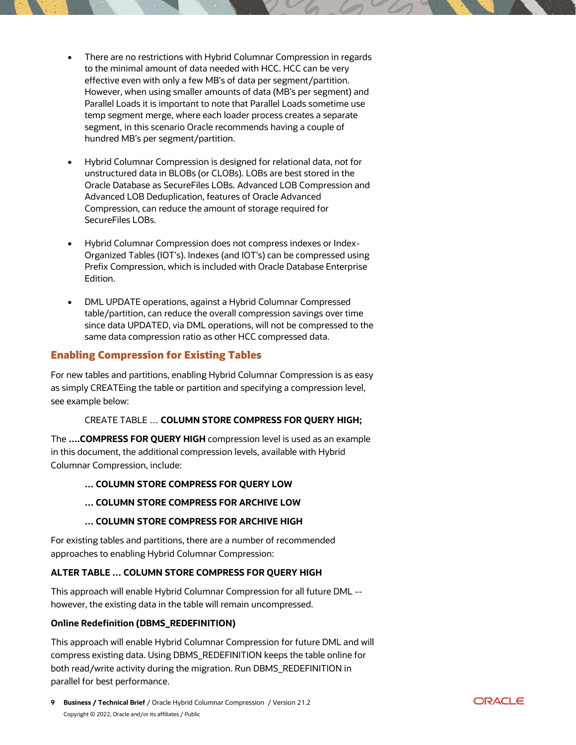- There are no restrictions with Hybrid Columnar Compression in regards to the minimal amount of data needed with HCC. HCC can be very effective even with only a few MB's of data per segment/partition. However, when using smaller amounts of data (MB's per segment) and Parallel Loads it is important to note that Parallel Loads sometime use temp segment merge, where each loader process creates a separate segment, in this scenario Oracle recommends having a couple of hundred MB's per segment/partition.
- Hybrid Columnar Compression is designed for relational data, not for unstructured data in BLOBs (or CLOBs). LOBs are best stored in the Oracle Database as SecureFiles LOBs. Advanced LOB Compression and Advanced LOB Deduplication, features of Oracle Advanced Compression, can reduce the amount of storage required for SecureFiles LOBs.
- Hybrid Columnar Compression does not compress indexes or Index-Organized Tables (IOT's). Indexes (and IOT's) can be compressed using Prefix Compression, which is included with Oracle Database Enterprise Edition.
- DML UPDATE operations, against a Hybrid Columnar Compressed table/partition, can reduce the overall compression savings over time since data UPDATED, via DML operations, will not be compressed to the same data compression ratio as other HCC compressed data.

## <span id="page-8-0"></span>**Enabling Compression for Existing Tables**

For new tables and partitions, enabling Hybrid Columnar Compression is as easy as simply CREATEing the table or partition and specifying a compression level, see example below:

#### CREATE TABLE … **COLUMN STORE COMPRESS FOR QUERY HIGH;**

The **….COMPRESS FOR QUERY HIGH** compression level is used as an example in this document, the additional compression levels, available with Hybrid Columnar Compression, include:

#### **… COLUMN STORE COMPRESS FOR QUERY LOW**

#### **… COLUMN STORE COMPRESS FOR ARCHIVE LOW**

#### **… COLUMN STORE COMPRESS FOR ARCHIVE HIGH**

For existing tables and partitions, there are a number of recommended approaches to enabling Hybrid Columnar Compression:

## **ALTER TABLE … COLUMN STORE COMPRESS FOR QUERY HIGH**

This approach will enable Hybrid Columnar Compression for all future DML - however, the existing data in the table will remain uncompressed.

#### **Online Redefinition (DBMS\_REDEFINITION)**

This approach will enable Hybrid Columnar Compression for future DML and will compress existing data. Using DBMS\_REDEFINITION keeps the table online for both read/write activity during the migration. Run DBMS\_REDEFINITION in parallel for best performance.

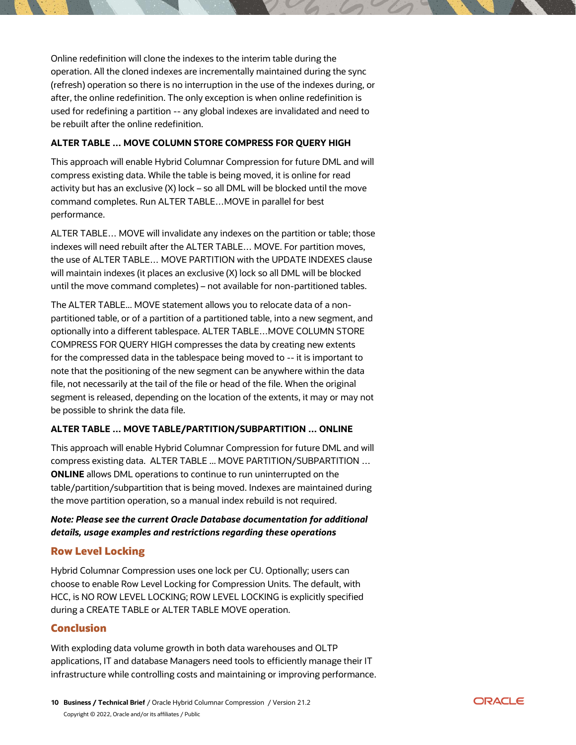Online redefinition will clone the indexes to the interim table during the operation. All the cloned indexes are incrementally maintained during the sync (refresh) operation so there is no interruption in the use of the indexes during, or after, the online redefinition. The only exception is when online redefinition is used for redefining a partition -- any global indexes are invalidated and need to be rebuilt after the online redefinition.

#### **ALTER TABLE … MOVE COLUMN STORE COMPRESS FOR QUERY HIGH**

This approach will enable Hybrid Columnar Compression for future DML and will compress existing data. While the table is being moved, it is online for read activity but has an exclusive (X) lock – so all DML will be blocked until the move command completes. Run ALTER TABLE…MOVE in parallel for best performance.

ALTER TABLE… MOVE will invalidate any indexes on the partition or table; those indexes will need rebuilt after the ALTER TABLE… MOVE. For partition moves, the use of ALTER TABLE… MOVE PARTITION with the UPDATE INDEXES clause will maintain indexes (it places an exclusive (X) lock so all DML will be blocked until the move command completes) – not available for non-partitioned tables.

The ALTER TABLE... MOVE statement allows you to relocate data of a nonpartitioned table, or of a partition of a partitioned table, into a new segment, and optionally into a different tablespace. ALTER TABLE…MOVE COLUMN STORE COMPRESS FOR QUERY HIGH compresses the data by creating new extents for the compressed data in the tablespace being moved to -- it is important to note that the positioning of the new segment can be anywhere within the data file, not necessarily at the tail of the file or head of the file. When the original segment is released, depending on the location of the extents, it may or may not be possible to shrink the data file.

#### **ALTER TABLE … MOVE TABLE/PARTITION/SUBPARTITION … ONLINE**

This approach will enable Hybrid Columnar Compression for future DML and will compress existing data. ALTER TABLE ... MOVE PARTITION/SUBPARTITION … **ONLINE** allows DML operations to continue to run uninterrupted on the table/partition/subpartition that is being moved. Indexes are maintained during the move partition operation, so a manual index rebuild is not required.

#### *Note: Please see the current Oracle Database documentation for additional details, usage examples and restrictions regarding these operations*

## <span id="page-9-0"></span>**Row Level Locking**

Hybrid Columnar Compression uses one lock per CU. Optionally; users can choose to enable Row Level Locking for Compression Units. The default, with HCC, is NO ROW LEVEL LOCKING; ROW LEVEL LOCKING is explicitly specified during a CREATE TABLE or ALTER TABLE MOVE operation.

#### <span id="page-9-1"></span>**Conclusion**

With exploding data volume growth in both data warehouses and OLTP applications, IT and database Managers need tools to efficiently manage their IT infrastructure while controlling costs and maintaining or improving performance.